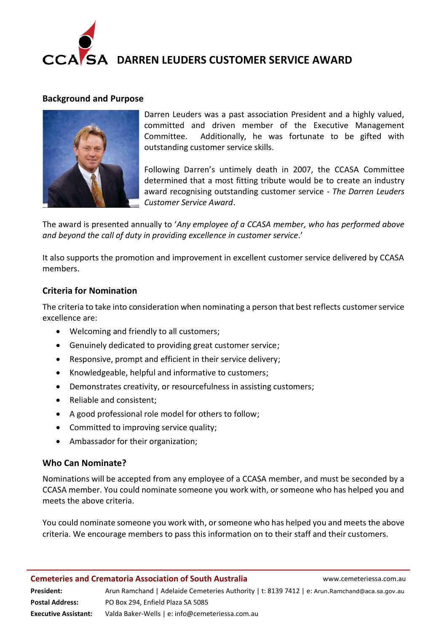

# **DARREN LEUDERS CUSTOMER SERVICE AWARD**

#### **Background and Purpose**



Darren Leuders was a past association President and a highly valued, committed and driven member of the Executive Management Committee. Additionally, he was fortunate to be gifted with outstanding customer service skills.

Following Darren's untimely death in 2007, the CCASA Committee determined that a most fitting tribute would be to create an industry award recognising outstanding customer service - *The Darren Leuders Customer Service Award*.

The award is presented annually to '*Any employee of a CCASA member, who has performed above and beyond the call of duty in providing excellence in customer service*.'

It also supports the promotion and improvement in excellent customer service delivered by CCASA members.

#### **Criteria for Nomination**

The criteria to take into consideration when nominating a person that best reflects customer service excellence are:

- Welcoming and friendly to all customers;
- Genuinely dedicated to providing great customer service;
- Responsive, prompt and efficient in their service delivery;
- Knowledgeable, helpful and informative to customers;
- Demonstrates creativity, or resourcefulness in assisting customers;
- Reliable and consistent;
- A good professional role model for others to follow;
- Committed to improving service quality;
- Ambassador for their organization;

#### **Who Can Nominate?**

Nominations will be accepted from any employee of a CCASA member, and must be seconded by a CCASA member. You could nominate someone you work with, or someone who has helped you and meets the above criteria.

You could nominate someone you work with, or someone who has helped you and meets the above criteria. We encourage members to pass this information on to their staff and their customers.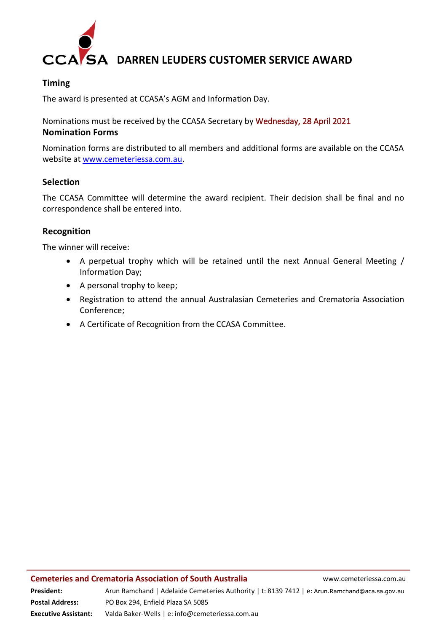

# **DARREN LEUDERS CUSTOMER SERVICE AWARD**

### **Timing**

The award is presented at CCASA's AGM and Information Day.

Nominations must be received by the CCASA Secretary by Wednesday, 28 April 2021 **Nomination Forms**

Nomination forms are distributed to all members and additional forms are available on the CCASA website at [www.cemeteriessa.com.au.](http://www.cemeteriessa.com.au/)

#### **Selection**

The CCASA Committee will determine the award recipient. Their decision shall be final and no correspondence shall be entered into.

#### **Recognition**

The winner will receive:

- A perpetual trophy which will be retained until the next Annual General Meeting / Information Day;
- A personal trophy to keep;
- Registration to attend the annual Australasian Cemeteries and Crematoria Association Conference;
- A Certificate of Recognition from the CCASA Committee.

**Executive Assistant:** Valda Baker-Wells | e: info@cemeteriessa.com.au